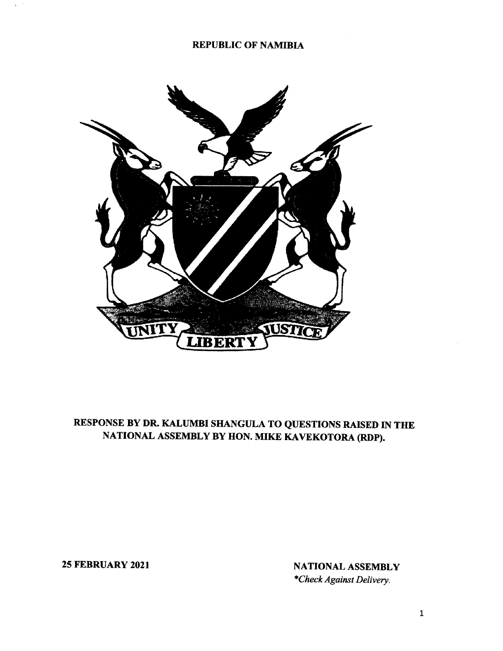#### REPUBLIC OF NAMIBIA



# RESPONSE BY DR. KALUMBI SHANGULA TO QUESTIONS RAISED IN THE NATIONAL ASSEMBLY BY HON. MIKE KAVEKOTORA (RDP).

25 FEBRUARY 2021 NATIONAL ASSEMBLY *\*Check Against Delivery.*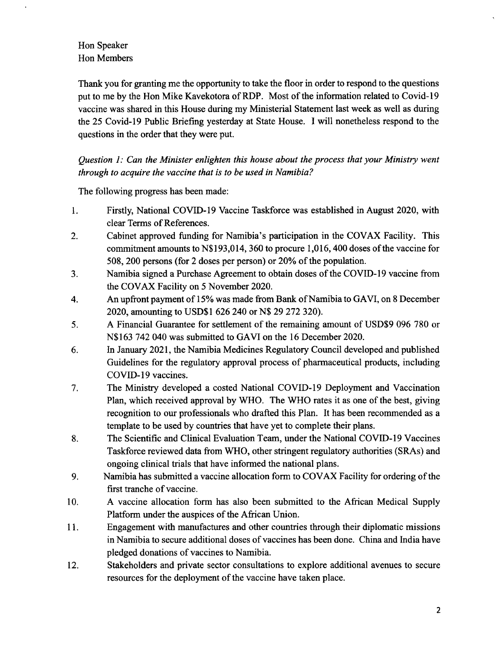# Hon Speaker Hon Members

Thank you for granting me the opportunity to take the floor in order to respond to the questions put to me by the Hon Mike Kavekotora of RDP. Most of the information related to Covid-19 vaccine was shared in this House during my Ministerial Statement last week as well as during the 25 Covid-19 Public Briefing yesterday at State House. I will nonetheless respond to the questions in the order that they were put.

*Question* 1: *Can the Minister enlighten this house about the process that your Ministry went through to acquire the vaccine that is to be used in Namibia?*

The following progress has been made:

- 1. Firstly, National COVID-19 Vaccine Taskforce was established in August 2020, with clear Terms of References.
- 2. Cabinet approved funding for Namibia's participation in the COYAX Facility. This commitment amounts to N\$193,014, 360 to procure 1,016,400 doses of the vaccine for 508,200 persons (for 2 doses per person) or 20% of the population.
- 3. Namibia signed a Purchase Agreement to obtain doses of the COVID-19 vaccine from the COYAX Facility on 5 November 2020.
- 4. An upfront payment of 15% was made from Bank of Namibia to GAVI, on 8 December 2020, amounting to USD\$1 626 240 or N\$ 29 272 320).
- 5. A Financial Guarantee for settlement of the remaining amount of USD\$9 096 780 or N\$163 742040 was submitted to GAVI on the 16 December 2020.
- 6. In January 2021, the Namibia Medicines Regulatory Council developed and published Guidelines for the regulatory approval process of pharmaceutical products, including COVID-19 vaccines.
- 7. The Ministry developed a costed National COVID-19 Deployment and Vaccination Plan, which received approval by WHO. The WHO rates it as one of the best, giving recognition to our professionals who drafted this Plan. It has been recommended as a template to be used by countries that have yet to complete their plans.
- 8. The Scientific and Clinical Evaluation Team, under the National COVID-19 Vaccines Taskforce reviewed data from WHO, other stringent regulatory authorities (SRAs) and ongoing clinical trials that have informed the national plans.
- 9. Namibia has submitted a vaccine allocation form to COY AX Facility for ordering of the first tranche of vaccine.
- 10. A vaccine allocation form has also been submitted to the African Medical Supply Platform under the auspices of the African Union.
- 11. Engagement with manufactures and other countries through their diplomatic missions in Namibia to secure additional doses of vaccines has been done. China and India have pledged donations of vaccines to Namibia.
- 12. Stakeholders and private sector consultations to explore additional avenues to secure resources for the deployment of the vaccine have taken place.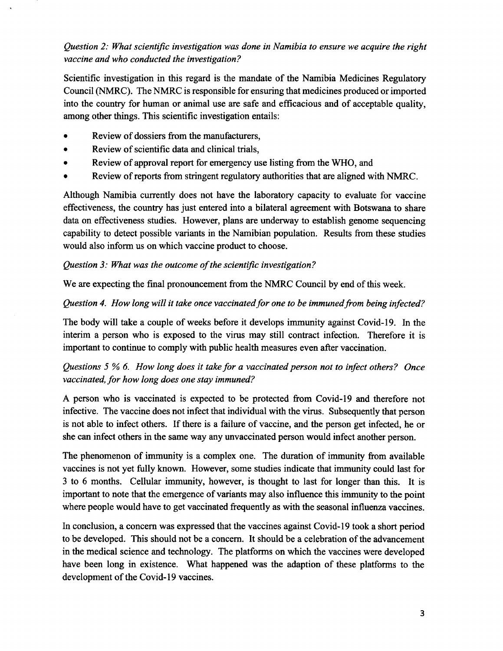# *Question* 2: *What scientific investigation was done in Namibia to ensure we acquire the right vaccine and who conducted the investigation?*

Scientific investigation in this regard is the mandate of the Namibia Medicines Regulatory Council (NMRC). The NMRC is responsible for ensuring that medicines produced or imported into the country for human or animal use are safe and efficacious and of acceptable quality, among other things. This scientific investigation entails:

- Review of dossiers from the manufacturers,
- Review of scientific data and clinical trials,
- Review of approval report for emergency use listing from the WHO, and
- Review of reports from stringent regulatory authorities that are aligned with NMRC.

Although Namibia currently does not have the laboratory capacity to evaluate for vaccine effectiveness, the country has just entered into a bilateral agreement with Botswana to share data on effectiveness studies. However, plans are underway to establish genome sequencing capability to detect possible variants in the Namibian population. Results from these studies would also inform us on which vaccine product to choose.

#### *Question* 3: *What was the outcome of the scientific investigation?*

We are expecting the final pronouncement from the NMRC Council by end of this week.

#### *Question* 4. *How long will it take once vaccinated for one to be immuned from being infected?*

The body will take a couple of weeks before it develops immunity against Covid-19. In the interim a person who is exposed to the virus may still contract infection. Therefore it is important to continue to comply with public health measures even after vaccination.

# *Questions* 5 % 6. *How long does it take for a vaccinated person not to infect others? Once vaccinated, for how long does one stay immuned?*

A person who is vaccinated is expected to be protected from Covid-19 and therefore not infective. The vaccine does not infect that individual with the virus. Subsequently that person is not able to infect others. If there is a failure of vaccine, and the person get infected, he or she can infect others in the same way any unvaccinated person would infect another person.

The phenomenon of immunity is a complex one. The duration of immunity from available vaccines is not yet fully known. However, some studies indicate that immunity could last for 3 to 6 months. Cellular immunity, however, is thought to last for longer than this. It is important to note that the emergence of variants may also influence this immunity to the point where people would have to get vaccinated frequently as with the seasonal influenza vaccines.

In conclusion, a concern was expressed that the vaccines against Covid-19 took a short period to be developed. This should not be a concern. It should be a celebration of the advancement in the medical science and technology. The platforms on which the vaccines were developed have been long in existence. What happened was the adaption of these platforms to the development of the Covid-19 vaccines.